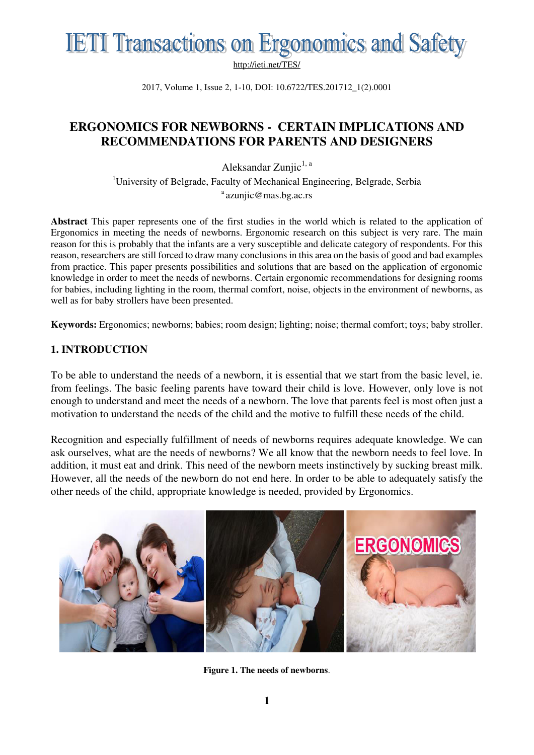

2017, Volume 1, Issue 2, 1-10, DOI: 10.6722/TES.201712\_1(2).0001

### **ERGONOMICS FOR NEWBORNS - CERTAIN IMPLICATIONS AND RECOMMENDATIONS FOR PARENTS AND DESIGNERS**

Aleksandar Zunjic $^{1, a}$ 

<sup>1</sup>University of Belgrade, Faculty of Mechanical Engineering, Belgrade, Serbia  $a$  azunjic@mas.bg.ac.rs

**Abstract** This paper represents one of the first studies in the world which is related to the application of Ergonomics in meeting the needs of newborns. Ergonomic research on this subject is very rare. The main reason for this is probably that the infants are a very susceptible and delicate category of respondents. For this reason, researchers are still forced to draw many conclusions in this area on the basis of good and bad examples from practice. This paper presents possibilities and solutions that are based on the application of ergonomic knowledge in order to meet the needs of newborns. Certain ergonomic recommendations for designing rooms for babies, including lighting in the room, thermal comfort, noise, objects in the environment of newborns, as well as for baby strollers have been presented.

**Keywords:** Ergonomics; newborns; babies; room design; lighting; noise; thermal comfort; toys; baby stroller.

### **1. INTRODUCTION**

To be able to understand the needs of a newborn, it is essential that we start from the basic level, ie. from feelings. The basic feeling parents have toward their child is love. However, only love is not enough to understand and meet the needs of a newborn. The love that parents feel is most often just a motivation to understand the needs of the child and the motive to fulfill these needs of the child.

Recognition and especially fulfillment of needs of newborns requires adequate knowledge. We can ask ourselves, what are the needs of newborns? We all know that the newborn needs to feel love. In addition, it must eat and drink. This need of the newborn meets instinctively by sucking breast milk. However, all the needs of the newborn do not end here. In order to be able to adequately satisfy the other needs of the child, appropriate knowledge is needed, provided by Ergonomics.



**Figure 1. The needs of newborns**.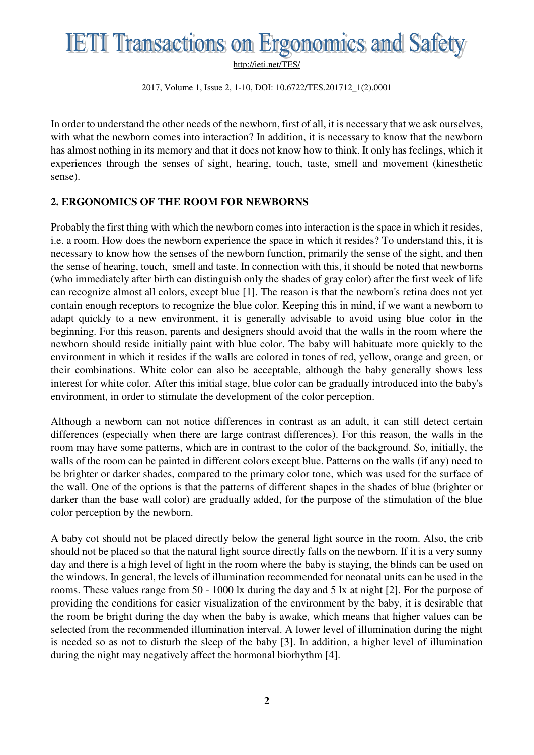2017, Volume 1, Issue 2, 1-10, DOI: 10.6722/TES.201712\_1(2).0001

In order to understand the other needs of the newborn, first of all, it is necessary that we ask ourselves, with what the newborn comes into interaction? In addition, it is necessary to know that the newborn has almost nothing in its memory and that it does not know how to think. It only has feelings, which it experiences through the senses of sight, hearing, touch, taste, smell and movement (kinesthetic sense).

#### **2. ERGONOMICS OF THE ROOM FOR NEWBORNS**

Probably the first thing with which the newborn comes into interaction is the space in which it resides, i.e. a room. How does the newborn experience the space in which it resides? To understand this, it is necessary to know how the senses of the newborn function, primarily the sense of the sight, and then the sense of hearing, touch, smell and taste. In connection with this, it should be noted that newborns (who immediately after birth can distinguish only the shades of gray color) after the first week of life can recognize almost all colors, except blue [1]. The reason is that the newborn's retina does not yet contain enough receptors to recognize the blue color. Keeping this in mind, if we want a newborn to adapt quickly to a new environment, it is generally advisable to avoid using blue color in the beginning. For this reason, parents and designers should avoid that the walls in the room where the newborn should reside initially paint with blue color. The baby will habituate more quickly to the environment in which it resides if the walls are colored in tones of red, yellow, orange and green, or their combinations. White color can also be acceptable, although the baby generally shows less interest for white color. After this initial stage, blue color can be gradually introduced into the baby's environment, in order to stimulate the development of the color perception.

Although a newborn can not notice differences in contrast as an adult, it can still detect certain differences (especially when there are large contrast differences). For this reason, the walls in the room may have some patterns, which are in contrast to the color of the background. So, initially, the walls of the room can be painted in different colors except blue. Patterns on the walls (if any) need to be brighter or darker shades, compared to the primary color tone, which was used for the surface of the wall. One of the options is that the patterns of different shapes in the shades of blue (brighter or darker than the base wall color) are gradually added, for the purpose of the stimulation of the blue color perception by the newborn.

A baby cot should not be placed directly below the general light source in the room. Also, the crib should not be placed so that the natural light source directly falls on the newborn. If it is a very sunny day and there is a high level of light in the room where the baby is staying, the blinds can be used on the windows. In general, the levels of illumination recommended for neonatal units can be used in the rooms. These values range from 50 - 1000 lx during the day and 5 lx at night [2]. For the purpose of providing the conditions for easier visualization of the environment by the baby, it is desirable that the room be bright during the day when the baby is awake, which means that higher values can be selected from the recommended illumination interval. A lower level of illumination during the night is needed so as not to disturb the sleep of the baby [3]. In addition, a higher level of illumination during the night may negatively affect the hormonal biorhythm [4].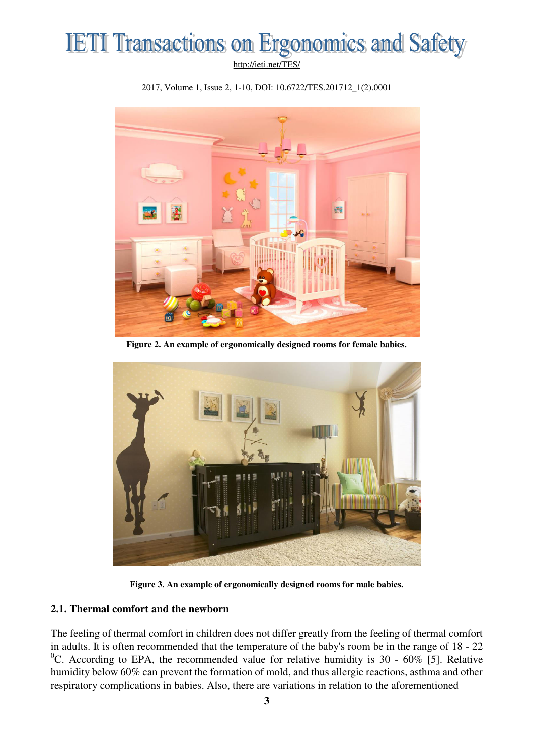



2017, Volume 1, Issue 2, 1-10, DOI: 10.6722/TES.201712\_1(2).0001

**Figure 2. An example of ergonomically designed rooms for female babies.** 



**Figure 3. An example of ergonomically designed rooms for male babies.** 

#### **2.1. Thermal comfort and the newborn**

The feeling of thermal comfort in children does not differ greatly from the feeling of thermal comfort in adults. It is often recommended that the temperature of the baby's room be in the range of 18 - 22 <sup>0</sup>C. According to EPA, the recommended value for relative humidity is 30 - 60% [5]. Relative humidity below 60% can prevent the formation of mold, and thus allergic reactions, asthma and other respiratory complications in babies. Also, there are variations in relation to the aforementioned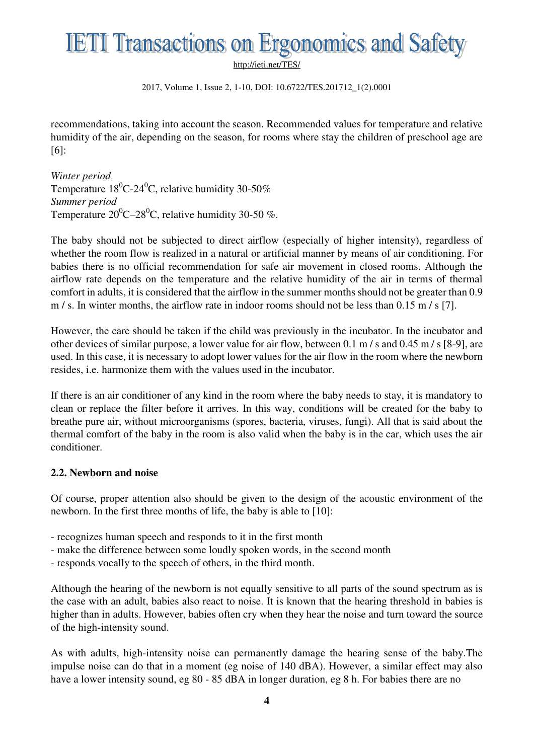# **IETI Transactions on Ergonomics and Safety**

<http://ieti.net/TES/>

2017, Volume 1, Issue 2, 1-10, DOI: 10.6722/TES.201712\_1(2).0001

recommendations, taking into account the season. Recommended values for temperature and relative humidity of the air, depending on the season, for rooms where stay the children of preschool age are [6]:

*Winter period*  Temperature  $18^0C-24^0C$ , relative humidity 30-50% *Summer period*  Temperature  $20^0C - 28^0C$ , relative humidity 30-50 %.

The baby should not be subjected to direct airflow (especially of higher intensity), regardless of whether the room flow is realized in a natural or artificial manner by means of air conditioning. For babies there is no official recommendation for safe air movement in closed rooms. Although the airflow rate depends on the temperature and the relative humidity of the air in terms of thermal comfort in adults, it is considered that the airflow in the summer months should not be greater than 0.9 m / s. In winter months, the airflow rate in indoor rooms should not be less than 0.15 m / s [7].

However, the care should be taken if the child was previously in the incubator. In the incubator and other devices of similar purpose, a lower value for air flow, between 0.1 m / s and 0.45 m / s [8-9], are used. In this case, it is necessary to adopt lower values for the air flow in the room where the newborn resides, i.e. harmonize them with the values used in the incubator.

If there is an air conditioner of any kind in the room where the baby needs to stay, it is mandatory to clean or replace the filter before it arrives. In this way, conditions will be created for the baby to breathe pure air, without microorganisms (spores, bacteria, viruses, fungi). All that is said about the thermal comfort of the baby in the room is also valid when the baby is in the car, which uses the air conditioner.

#### **2.2. Newborn and noise**

Of course, proper attention also should be given to the design of the acoustic environment of the newborn. In the first three months of life, the baby is able to [10]:

- recognizes human speech and responds to it in the first month
- make the difference between some loudly spoken words, in the second month
- responds vocally to the speech of others, in the third month.

Although the hearing of the newborn is not equally sensitive to all parts of the sound spectrum as is the case with an adult, babies also react to noise. It is known that the hearing threshold in babies is higher than in adults. However, babies often cry when they hear the noise and turn toward the source of the high-intensity sound.

As with adults, high-intensity noise can permanently damage the hearing sense of the baby.The impulse noise can do that in a moment (eg noise of 140 dBA). However, a similar effect may also have a lower intensity sound, eg 80 - 85 dBA in longer duration, eg 8 h. For babies there are no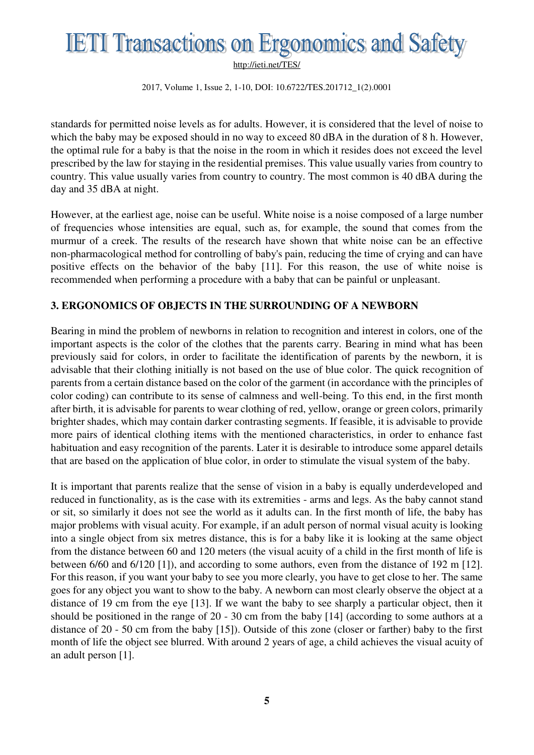2017, Volume 1, Issue 2, 1-10, DOI: 10.6722/TES.201712\_1(2).0001

standards for permitted noise levels as for adults. However, it is considered that the level of noise to which the baby may be exposed should in no way to exceed 80 dBA in the duration of 8 h. However, the optimal rule for a baby is that the noise in the room in which it resides does not exceed the level prescribed by the law for staying in the residential premises. This value usually varies from country to country. This value usually varies from country to country. The most common is 40 dBA during the day and 35 dBA at night.

However, at the earliest age, noise can be useful. White noise is a noise composed of a large number of frequencies whose intensities are equal, such as, for example, the sound that comes from the murmur of a creek. The results of the research have shown that white noise can be an effective non-pharmacological method for controlling of baby's pain, reducing the time of crying and can have positive effects on the behavior of the baby [11]. For this reason, the use of white noise is recommended when performing a procedure with a baby that can be painful or unpleasant.

#### **3. ERGONOMICS OF OBJECTS IN THE SURROUNDING OF A NEWBORN**

Bearing in mind the problem of newborns in relation to recognition and interest in colors, one of the important aspects is the color of the clothes that the parents carry. Bearing in mind what has been previously said for colors, in order to facilitate the identification of parents by the newborn, it is advisable that their clothing initially is not based on the use of blue color. The quick recognition of parents from a certain distance based on the color of the garment (in accordance with the principles of color coding) can contribute to its sense of calmness and well-being. To this end, in the first month after birth, it is advisable for parents to wear clothing of red, yellow, orange or green colors, primarily brighter shades, which may contain darker contrasting segments. If feasible, it is advisable to provide more pairs of identical clothing items with the mentioned characteristics, in order to enhance fast habituation and easy recognition of the parents. Later it is desirable to introduce some apparel details that are based on the application of blue color, in order to stimulate the visual system of the baby.

It is important that parents realize that the sense of vision in a baby is equally underdeveloped and reduced in functionality, as is the case with its extremities - arms and legs. As the baby cannot stand or sit, so similarly it does not see the world as it adults can. In the first month of life, the baby has major problems with visual acuity. For example, if an adult person of normal visual acuity is looking into a single object from six metres distance, this is for a baby like it is looking at the same object from the distance between 60 and 120 meters (the visual acuity of a child in the first month of life is between 6/60 and 6/120 [1]), and according to some authors, even from the distance of 192 m [12]. For this reason, if you want your baby to see you more clearly, you have to get close to her. The same goes for any object you want to show to the baby. A newborn can most clearly observe the object at a distance of 19 cm from the eye [13]. If we want the baby to see sharply a particular object, then it should be positioned in the range of 20 - 30 cm from the baby [14] (according to some authors at a distance of 20 - 50 cm from the baby [15]). Outside of this zone (closer or farther) baby to the first month of life the object see blurred. With around 2 years of age, a child achieves the visual acuity of an adult person [1].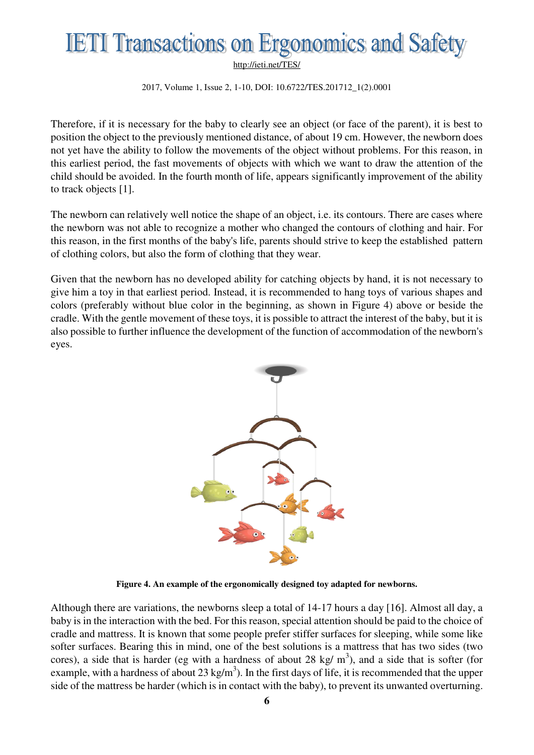2017, Volume 1, Issue 2, 1-10, DOI: 10.6722/TES.201712\_1(2).0001

Therefore, if it is necessary for the baby to clearly see an object (or face of the parent), it is best to position the object to the previously mentioned distance, of about 19 cm. However, the newborn does not yet have the ability to follow the movements of the object without problems. For this reason, in this earliest period, the fast movements of objects with which we want to draw the attention of the child should be avoided. In the fourth month of life, appears significantly improvement of the ability to track objects [1].

The newborn can relatively well notice the shape of an object, i.e. its contours. There are cases where the newborn was not able to recognize a mother who changed the contours of clothing and hair. For this reason, in the first months of the baby's life, parents should strive to keep the established pattern of clothing colors, but also the form of clothing that they wear.

Given that the newborn has no developed ability for catching objects by hand, it is not necessary to give him a toy in that earliest period. Instead, it is recommended to hang toys of various shapes and colors (preferably without blue color in the beginning, as shown in Figure 4) above or beside the cradle. With the gentle movement of these toys, it is possible to attract the interest of the baby, but it is also possible to further influence the development of the function of accommodation of the newborn's eyes.



**Figure 4. An example of the ergonomically designed toy adapted for newborns.** 

Although there are variations, the newborns sleep a total of 14-17 hours a day [16]. Almost all day, a baby is in the interaction with the bed. For this reason, special attention should be paid to the choice of cradle and mattress. It is known that some people prefer stiffer surfaces for sleeping, while some like softer surfaces. Bearing this in mind, one of the best solutions is a mattress that has two sides (two cores), a side that is harder (eg with a hardness of about 28 kg/  $m<sup>3</sup>$ ), and a side that is softer (for example, with a hardness of about 23 kg/m<sup>3</sup>). In the first days of life, it is recommended that the upper side of the mattress be harder (which is in contact with the baby), to prevent its unwanted overturning.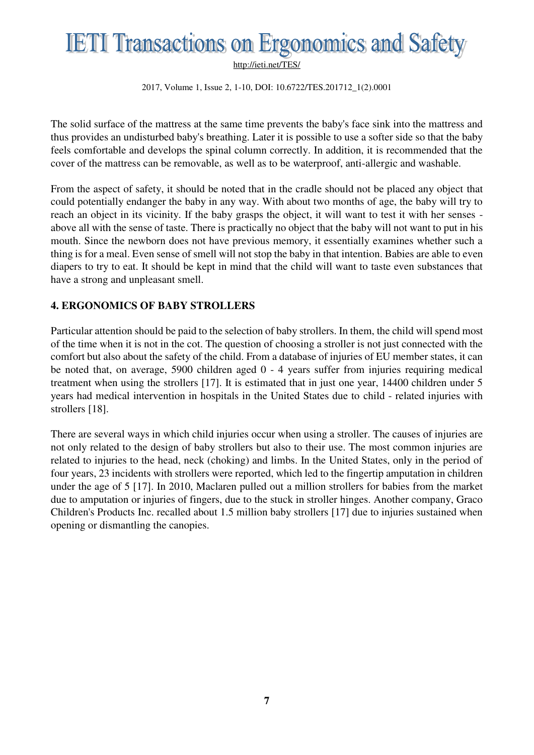2017, Volume 1, Issue 2, 1-10, DOI: 10.6722/TES.201712\_1(2).0001

The solid surface of the mattress at the same time prevents the baby's face sink into the mattress and thus provides an undisturbed baby's breathing. Later it is possible to use a softer side so that the baby feels comfortable and develops the spinal column correctly. In addition, it is recommended that the cover of the mattress can be removable, as well as to be waterproof, anti-allergic and washable.

From the aspect of safety, it should be noted that in the cradle should not be placed any object that could potentially endanger the baby in any way. With about two months of age, the baby will try to reach an object in its vicinity. If the baby grasps the object, it will want to test it with her senses above all with the sense of taste. There is practically no object that the baby will not want to put in his mouth. Since the newborn does not have previous memory, it essentially examines whether such a thing is for a meal. Even sense of smell will not stop the baby in that intention. Babies are able to even diapers to try to eat. It should be kept in mind that the child will want to taste even substances that have a strong and unpleasant smell.

#### **4. ERGONOMICS OF BABY STROLLERS**

Particular attention should be paid to the selection of baby strollers. In them, the child will spend most of the time when it is not in the cot. The question of choosing a stroller is not just connected with the comfort but also about the safety of the child. From a database of injuries of EU member states, it can be noted that, on average, 5900 children aged 0 - 4 years suffer from injuries requiring medical treatment when using the strollers [17]. It is estimated that in just one year, 14400 children under 5 years had medical intervention in hospitals in the United States due to child - related injuries with strollers [18].

There are several ways in which child injuries occur when using a stroller. The causes of injuries are not only related to the design of baby strollers but also to their use. The most common injuries are related to injuries to the head, neck (choking) and limbs. In the United States, only in the period of four years, 23 incidents with strollers were reported, which led to the fingertip amputation in children under the age of 5 [17]. In 2010, Maclaren pulled out a million strollers for babies from the market due to amputation or injuries of fingers, due to the stuck in stroller hinges. Another company, Graco Children's Products Inc. recalled about 1.5 million baby strollers [17] due to injuries sustained when opening or dismantling the canopies.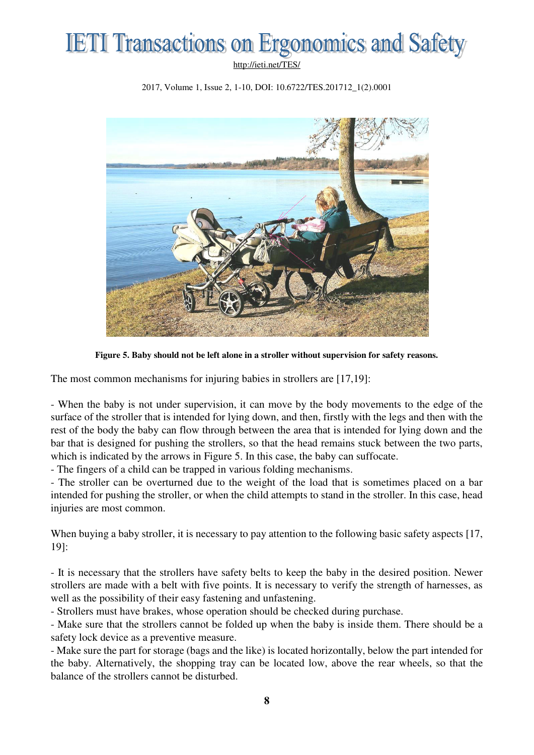2017, Volume 1, Issue 2, 1-10, DOI: 10.6722/TES.201712\_1(2).0001



**Figure 5. Baby should not be left alone in a stroller without supervision for safety reasons.** 

The most common mechanisms for injuring babies in strollers are [17,19]:

- When the baby is not under supervision, it can move by the body movements to the edge of the surface of the stroller that is intended for lying down, and then, firstly with the legs and then with the rest of the body the baby can flow through between the area that is intended for lying down and the bar that is designed for pushing the strollers, so that the head remains stuck between the two parts, which is indicated by the arrows in Figure 5. In this case, the baby can suffocate.

- The fingers of a child can be trapped in various folding mechanisms.

- The stroller can be overturned due to the weight of the load that is sometimes placed on a bar intended for pushing the stroller, or when the child attempts to stand in the stroller. In this case, head injuries are most common.

When buying a baby stroller, it is necessary to pay attention to the following basic safety aspects [17, 19]:

- It is necessary that the strollers have safety belts to keep the baby in the desired position. Newer strollers are made with a belt with five points. It is necessary to verify the strength of harnesses, as well as the possibility of their easy fastening and unfastening.

- Strollers must have brakes, whose operation should be checked during purchase.

- Make sure that the strollers cannot be folded up when the baby is inside them. There should be a safety lock device as a preventive measure.

- Make sure the part for storage (bags and the like) is located horizontally, below the part intended for the baby. Alternatively, the shopping tray can be located low, above the rear wheels, so that the balance of the strollers cannot be disturbed.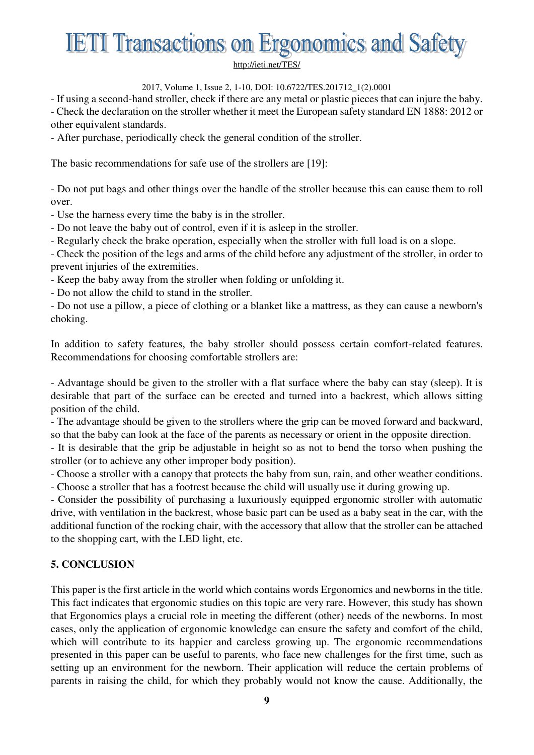2017, Volume 1, Issue 2, 1-10, DOI: 10.6722/TES.201712\_1(2).0001

- If using a second-hand stroller, check if there are any metal or plastic pieces that can injure the baby. - Check the declaration on the stroller whether it meet the European safety standard EN 1888: 2012 or other equivalent standards.

- After purchase, periodically check the general condition of the stroller.

The basic recommendations for safe use of the strollers are [19]:

- Do not put bags and other things over the handle of the stroller because this can cause them to roll over.

- Use the harness every time the baby is in the stroller.

- Do not leave the baby out of control, even if it is asleep in the stroller.

- Regularly check the brake operation, especially when the stroller with full load is on a slope.

- Check the position of the legs and arms of the child before any adjustment of the stroller, in order to prevent injuries of the extremities.

- Keep the baby away from the stroller when folding or unfolding it.

- Do not allow the child to stand in the stroller.

- Do not use a pillow, a piece of clothing or a blanket like a mattress, as they can cause a newborn's choking.

In addition to safety features, the baby stroller should possess certain comfort-related features. Recommendations for choosing comfortable strollers are:

- Advantage should be given to the stroller with a flat surface where the baby can stay (sleep). It is desirable that part of the surface can be erected and turned into a backrest, which allows sitting position of the child.

- The advantage should be given to the strollers where the grip can be moved forward and backward, so that the baby can look at the face of the parents as necessary or orient in the opposite direction.

- It is desirable that the grip be adjustable in height so as not to bend the torso when pushing the stroller (or to achieve any other improper body position).

- Choose a stroller with a canopy that protects the baby from sun, rain, and other weather conditions. - Choose a stroller that has a footrest because the child will usually use it during growing up.

- Consider the possibility of purchasing a luxuriously equipped ergonomic stroller with automatic drive, with ventilation in the backrest, whose basic part can be used as a baby seat in the car, with the additional function of the rocking chair, with the accessory that allow that the stroller can be attached to the shopping cart, with the LED light, etc.

### **5. CONCLUSION**

This paper is the first article in the world which contains words Ergonomics and newborns in the title. This fact indicates that ergonomic studies on this topic are very rare. However, this study has shown that Ergonomics plays a crucial role in meeting the different (other) needs of the newborns. In most cases, only the application of ergonomic knowledge can ensure the safety and comfort of the child, which will contribute to its happier and careless growing up. The ergonomic recommendations presented in this paper can be useful to parents, who face new challenges for the first time, such as setting up an environment for the newborn. Their application will reduce the certain problems of parents in raising the child, for which they probably would not know the cause. Additionally, the